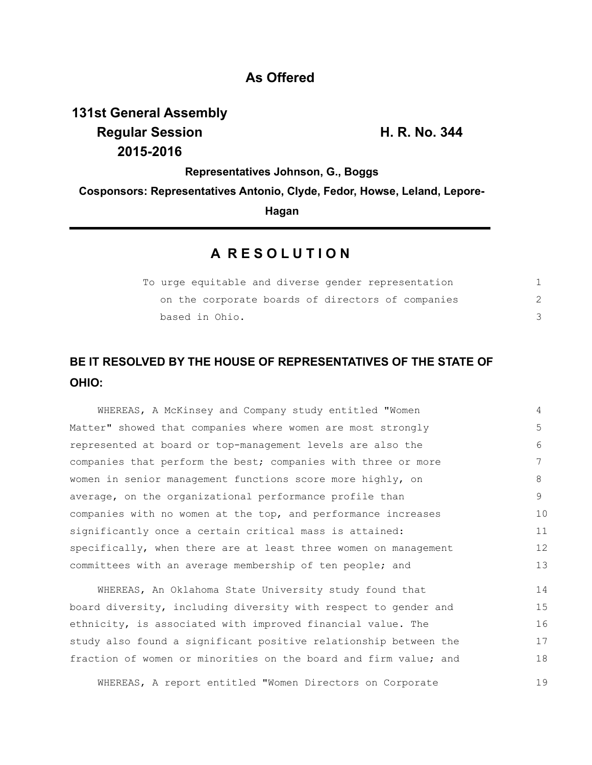### **As Offered**

# **131st General Assembly Regular Session H. R. No. 344 2015-2016**

**Representatives Johnson, G., Boggs**

**Cosponsors: Representatives Antonio, Clyde, Fedor, Howse, Leland, Lepore-**

**Hagan**

### **A R E S O L U T I O N**

| To urge equitable and diverse gender representation |  |
|-----------------------------------------------------|--|
| on the corporate boards of directors of companies   |  |
| based in Ohio.                                      |  |

## **BE IT RESOLVED BY THE HOUSE OF REPRESENTATIVES OF THE STATE OF OHIO:**

WHEREAS, A McKinsey and Company study entitled "Women Matter" showed that companies where women are most strongly represented at board or top-management levels are also the companies that perform the best; companies with three or more women in senior management functions score more highly, on average, on the organizational performance profile than companies with no women at the top, and performance increases significantly once a certain critical mass is attained: specifically, when there are at least three women on management committees with an average membership of ten people; and 4 5 6 7 8 9 10 11 12 13

WHEREAS, An Oklahoma State University study found that board diversity, including diversity with respect to gender and ethnicity, is associated with improved financial value. The study also found a significant positive relationship between the fraction of women or minorities on the board and firm value; and 14 15 16 17 18

WHEREAS, A report entitled "Women Directors on Corporate 19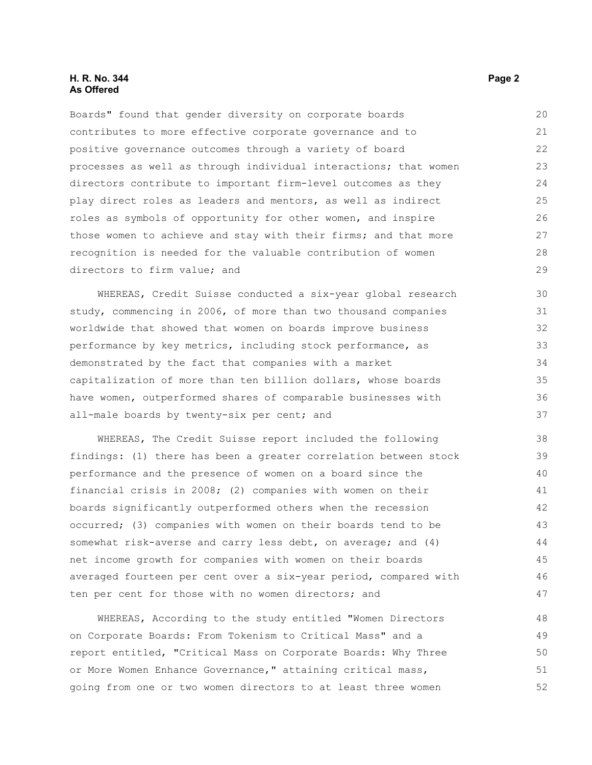#### **H. R. No. 344 Page 2 As Offered**

Boards" found that gender diversity on corporate boards contributes to more effective corporate governance and to positive governance outcomes through a variety of board processes as well as through individual interactions; that women directors contribute to important firm-level outcomes as they play direct roles as leaders and mentors, as well as indirect roles as symbols of opportunity for other women, and inspire those women to achieve and stay with their firms; and that more recognition is needed for the valuable contribution of women directors to firm value; and

WHEREAS, Credit Suisse conducted a six-year global research study, commencing in 2006, of more than two thousand companies worldwide that showed that women on boards improve business performance by key metrics, including stock performance, as demonstrated by the fact that companies with a market capitalization of more than ten billion dollars, whose boards have women, outperformed shares of comparable businesses with all-male boards by twenty-six per cent; and

WHEREAS, The Credit Suisse report included the following findings: (1) there has been a greater correlation between stock performance and the presence of women on a board since the financial crisis in 2008; (2) companies with women on their boards significantly outperformed others when the recession occurred; (3) companies with women on their boards tend to be somewhat risk-averse and carry less debt, on average; and (4) net income growth for companies with women on their boards averaged fourteen per cent over a six-year period, compared with ten per cent for those with no women directors; and

WHEREAS, According to the study entitled "Women Directors on Corporate Boards: From Tokenism to Critical Mass" and a report entitled, "Critical Mass on Corporate Boards: Why Three or More Women Enhance Governance," attaining critical mass, going from one or two women directors to at least three women 48 49 50 51 52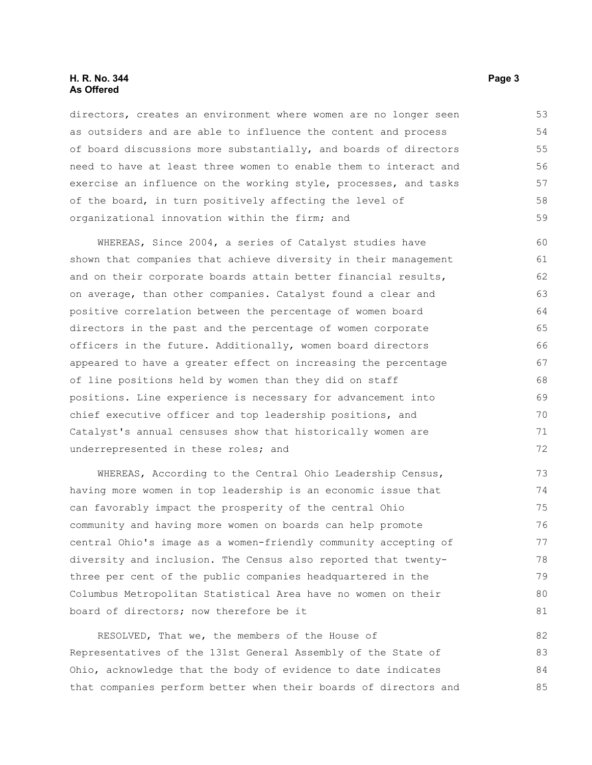#### **H. R. No. 344 Page 3 As Offered**

directors, creates an environment where women are no longer seen as outsiders and are able to influence the content and process of board discussions more substantially, and boards of directors need to have at least three women to enable them to interact and exercise an influence on the working style, processes, and tasks of the board, in turn positively affecting the level of organizational innovation within the firm; and

WHEREAS, Since 2004, a series of Catalyst studies have shown that companies that achieve diversity in their management and on their corporate boards attain better financial results, on average, than other companies. Catalyst found a clear and positive correlation between the percentage of women board directors in the past and the percentage of women corporate officers in the future. Additionally, women board directors appeared to have a greater effect on increasing the percentage of line positions held by women than they did on staff positions. Line experience is necessary for advancement into chief executive officer and top leadership positions, and Catalyst's annual censuses show that historically women are underrepresented in these roles; and 60 61 62 63 64 65 66 67 68 69 70 71 72

WHEREAS, According to the Central Ohio Leadership Census, having more women in top leadership is an economic issue that can favorably impact the prosperity of the central Ohio community and having more women on boards can help promote central Ohio's image as a women-friendly community accepting of diversity and inclusion. The Census also reported that twentythree per cent of the public companies headquartered in the Columbus Metropolitan Statistical Area have no women on their board of directors; now therefore be it

RESOLVED, That we, the members of the House of Representatives of the 131st General Assembly of the State of Ohio, acknowledge that the body of evidence to date indicates that companies perform better when their boards of directors and 82 83 84 85